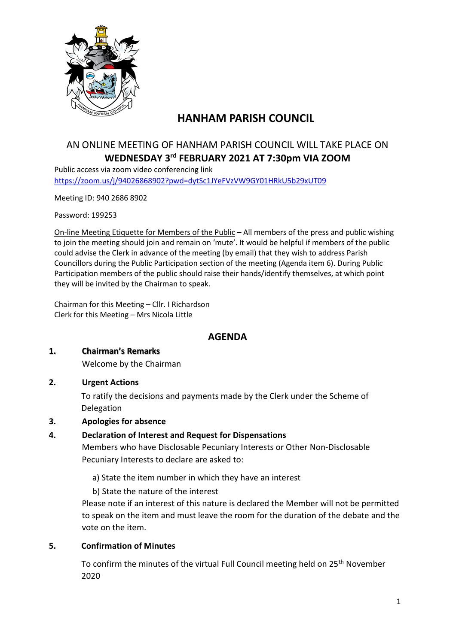

# **HANHAM PARISH COUNCIL**

## AN ONLINE MEETING OF HANHAM PARISH COUNCIL WILL TAKE PLACE ON **WEDNESDAY 3 rd FEBRUARY 2021 AT 7:30pm VIA ZOOM**

Public access via zoom video conferencing link <https://zoom.us/j/94026868902?pwd=dytSc1JYeFVzVW9GY01HRkU5b29xUT09>

Meeting ID: 940 2686 8902

Password: 199253

On-line Meeting Etiquette for Members of the Public – All members of the press and public wishing to join the meeting should join and remain on 'mute'. It would be helpful if members of the public could advise the Clerk in advance of the meeting (by email) that they wish to address Parish Councillors during the Public Participation section of the meeting (Agenda item 6). During Public Participation members of the public should raise their hands/identify themselves, at which point they will be invited by the Chairman to speak.

Chairman for this Meeting – Cllr. I Richardson Clerk for this Meeting – Mrs Nicola Little

## **AGENDA**

#### **1. Chairman's Remarks**

Welcome by the Chairman

**2. Urgent Actions**

To ratify the decisions and payments made by the Clerk under the Scheme of Delegation

**3. Apologies for absence**

## **4. Declaration of Interest and Request for Dispensations**

Members who have Disclosable Pecuniary Interests or Other Non-Disclosable Pecuniary Interests to declare are asked to:

a) State the item number in which they have an interest

b) State the nature of the interest

Please note if an interest of this nature is declared the Member will not be permitted to speak on the item and must leave the room for the duration of the debate and the vote on the item.

## **5. Confirmation of Minutes**

To confirm the minutes of the virtual Full Council meeting held on 25<sup>th</sup> November 2020